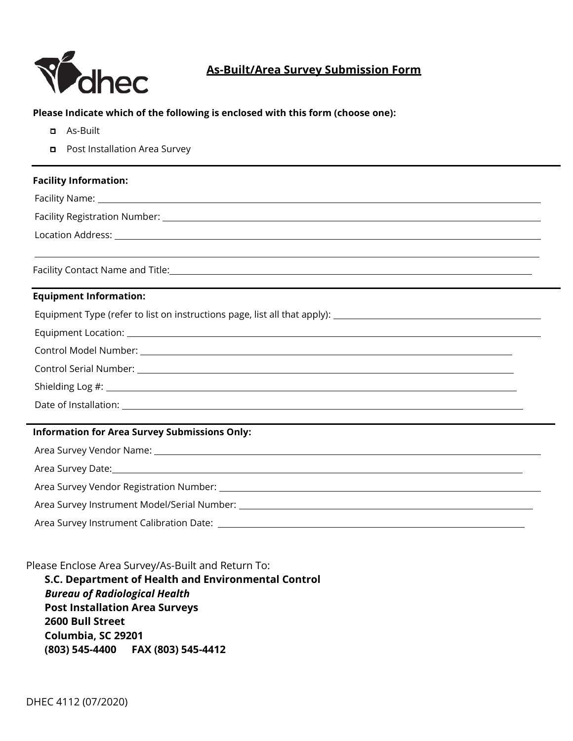

# **As-Built/Area Survey Submission Form**

### **Please Indicate which of the following is enclosed with this form (choose one):**

- ❑ As-Built
- ❑ Post Installation Area Survey

## **Facility Information:**

Facility Name:

Facility Registration Number: 2008

Location Address:

Facility Contact Name and Title:

## **Equipment Information:**

Equipment Type (refer to list on instructions page, list all that apply):

Equipment Location:

Control Model Number:

Control Serial Number:

Shielding Log #:  $\blacksquare$ 

Date of Installation:

## **Information for Area Survey Submissions Only:**

| Area Survey Date: 1998 - 2008 - 2009 - 2010 - 2010 - 2011 - 2012 - 2014 - 2014 - 2014 - 2014 - 2014 - 2014 - 20 |  |  |  |
|-----------------------------------------------------------------------------------------------------------------|--|--|--|
|                                                                                                                 |  |  |  |
|                                                                                                                 |  |  |  |
|                                                                                                                 |  |  |  |

Please Enclose Area Survey/As-Built and Return To:

**S.C. Department of Health and Environmental Control** *Bureau of Radiological Health* **Post Installation Area Surveys 2600 Bull Street Columbia, SC 29201 (803) 545-4400 FAX (803) 545-4412**